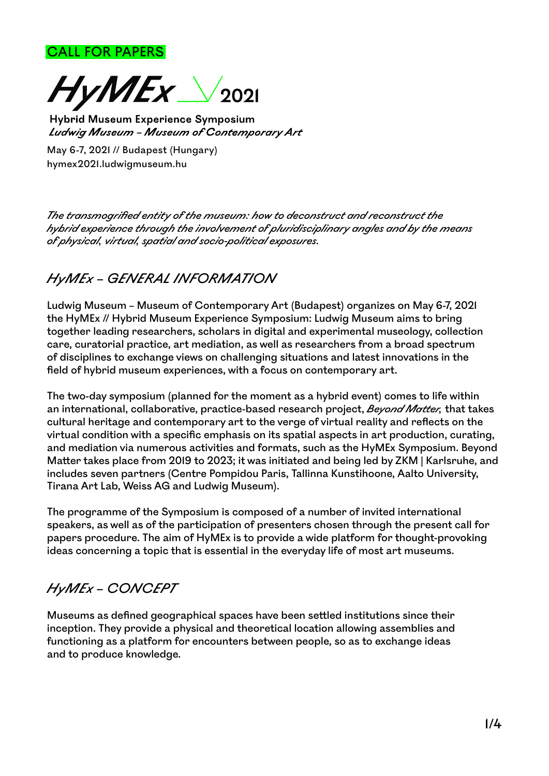CALL FOR PAPERS



Hybrid Museum Experience Symposium Ludwig Museum - Museum of Contemporary Art

May 6-7, 2021 // Budapest (Hungary) hymex2021.ludwigmuseum.hu

*The transmogrified entity of the museum: how to deconstruct and reconstruct the hybrid experience through the involvement of pluridisciplinary angles and by the means of physical, virtual, spatial and socio-political exposures.*

# *HyMEx* – *GENERAL INFORMATION*

Ludwig Museum – Museum of Contemporary Art (Budapest) organizes on May 6-7, 2021 the HyMEx // Hybrid Museum Experience Symposium: Ludwig Museum aims to bring together leading researchers, scholars in digital and experimental museology, collection care, curatorial practice, art mediation, as well as researchers from a broad spectrum of disciplines to exchange views on challenging situations and latest innovations in the field of hybrid museum experiences, with a focus on contemporary art.

The two-day symposium (planned for the moment as a hybrid event) comes to life within an international, collaborative, practice-based research project, *Beyond Matter,* that takes cultural heritage and contemporary art to the verge of virtual reality and reflects on the virtual condition with a specific emphasis on its spatial aspects in art production, curating, and mediation via numerous activities and formats, such as the HyMEx Symposium. Beyond Matter takes place from 2019 to 2023; it was initiated and being led by ZKM | Karlsruhe, and includes seven partners (Centre Pompidou Paris, Tallinna Kunstihoone, Aalto University, Tirana Art Lab, Weiss AG and Ludwig Museum).

The programme of the Symposium is composed of a number of invited international speakers, as well as of the participation of presenters chosen through the present call for papers procedure. The aim of HyMEx is to provide a wide platform for thought-provoking ideas concerning a topic that is essential in the everyday life of most art museums.

# *HyMEx* – *CONCEPT*

Museums as defined geographical spaces have been settled institutions since their inception. They provide a physical and theoretical location allowing assemblies and functioning as a platform for encounters between people, so as to exchange ideas and to produce knowledge.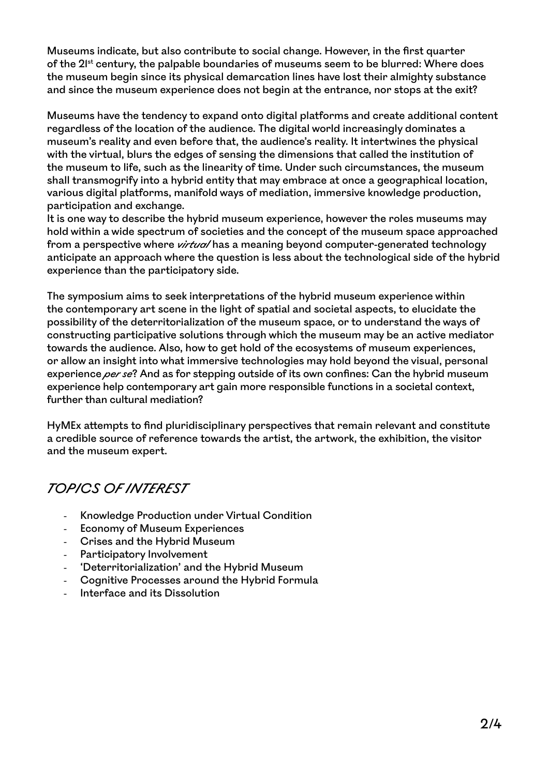Museums indicate, but also contribute to social change. However, in the first quarter of the 2<sup>1st</sup> century, the palpable boundaries of museums seem to be blurred: Where does the museum begin since its physical demarcation lines have lost their almighty substance and since the museum experience does not begin at the entrance, nor stops at the exit?

Museums have the tendency to expand onto digital platforms and create additional content regardless of the location of the audience. The digital world increasingly dominates a museum's reality and even before that, the audience's reality. It intertwines the physical with the virtual, blurs the edges of sensing the dimensions that called the institution of the museum to life, such as the linearity of time. Under such circumstances, the museum shall transmogrify into a hybrid entity that may embrace at once a geographical location, various digital platforms, manifold ways of mediation, immersive knowledge production, participation and exchange.

It is one way to describe the hybrid museum experience, however the roles museums may hold within a wide spectrum of societies and the concept of the museum space approached from a perspective where *virtua*/has a meaning beyond computer-generated technology anticipate an approach where the question is less about the technological side of the hybrid experience than the participatory side.

The symposium aims to seek interpretations of the hybrid museum experience within the contemporary art scene in the light of spatial and societal aspects, to elucidate the possibility of the deterritorialization of the museum space, or to understand the ways of constructing participative solutions through which the museum may be an active mediator towards the audience. Also, how to get hold of the ecosystems of museum experiences, or allow an insight into what immersive technologies may hold beyond the visual, personal experience *per se*? And as for stepping outside of its own confines: Can the hybrid museum experience help contemporary art gain more responsible functions in a societal context, further than cultural mediation?

HyMEx attempts to find pluridisciplinary perspectives that remain relevant and constitute a credible source of reference towards the artist, the artwork, the exhibition, the visitor and the museum expert.

# *TOPICS OF INTEREST*

- Knowledge Production under Virtual Condition
- Economy of Museum Experiences
- Crises and the Hybrid Museum
- Participatory Involvement
- 'Deterritorialization' and the Hybrid Museum
- Cognitive Processes around the Hybrid Formula
- Interface and its Dissolution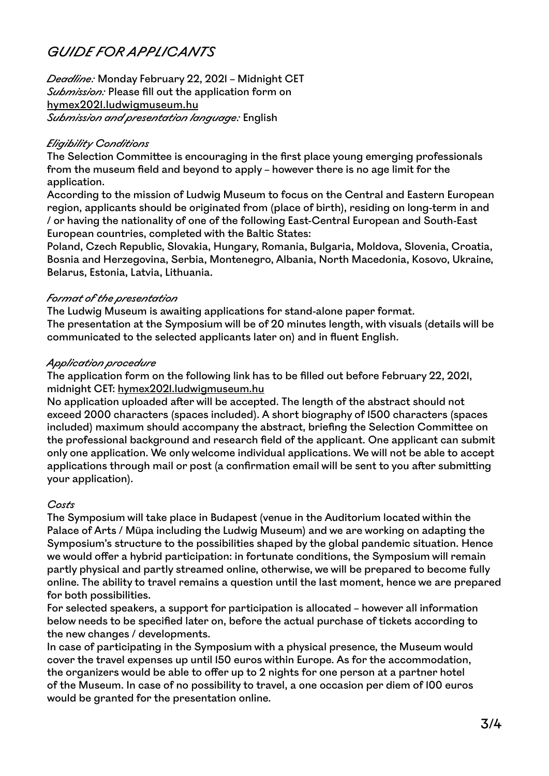# *GUIDE FOR APPLICANTS*

*Deadline:* Monday February 22, 2021 – Midnight CET *Submission:* Please fill out the application form on hymex2021.ludwigmuseum.hu *Submission and presentation language:* English

### *Eligibility Conditions*

The Selection Committee is encouraging in the first place young emerging professionals from the museum field and beyond to apply – however there is no age limit for the application.

According to the mission of Ludwig Museum to focus on the Central and Eastern European region, applicants should be originated from (place of birth), residing on long-term in and / or having the nationality of one of the following East-Central European and South-East European countries, completed with the Baltic States:

Poland, Czech Republic, Slovakia, Hungary, Romania, Bulgaria, Moldova, Slovenia, Croatia, Bosnia and Herzegovina, Serbia, Montenegro, Albania, North Macedonia, Kosovo, Ukraine, Belarus, Estonia, Latvia, Lithuania.

### *Format of the presentation*

The Ludwig Museum is awaiting applications for stand-alone paper format. The presentation at the Symposium will be of 20 minutes length, with visuals (details will be communicated to the selected applicants later on) and in fluent English.

### *Application procedure*

The application form on the following link has to be filled out before February 22, 2021, midnight CET: hymex2021.ludwigmuseum.hu

No application uploaded after will be accepted. The length of the abstract should not exceed 2000 characters (spaces included). A short biography of 1500 characters (spaces included) maximum should accompany the abstract, briefing the Selection Committee on the professional background and research field of the applicant. One applicant can submit only one application. We only welcome individual applications. We will not be able to accept applications through mail or post (a confirmation email will be sent to you after submitting your application).

#### *Costs*

The Symposium will take place in Budapest (venue in the Auditorium located within the Palace of Arts / Müpa including the Ludwig Museum) and we are working on adapting the Symposium's structure to the possibilities shaped by the global pandemic situation. Hence we would offer a hybrid participation: in fortunate conditions, the Symposium will remain partly physical and partly streamed online, otherwise, we will be prepared to become fully online. The ability to travel remains a question until the last moment, hence we are prepared for both possibilities.

For selected speakers, a support for participation is allocated – however all information below needs to be specified later on, before the actual purchase of tickets according to the new changes / developments.

In case of participating in the Symposium with a physical presence, the Museum would cover the travel expenses up until 150 euros within Europe. As for the accommodation, the organizers would be able to offer up to 2 nights for one person at a partner hotel of the Museum. In case of no possibility to travel, a one occasion per diem of 100 euros would be granted for the presentation online.